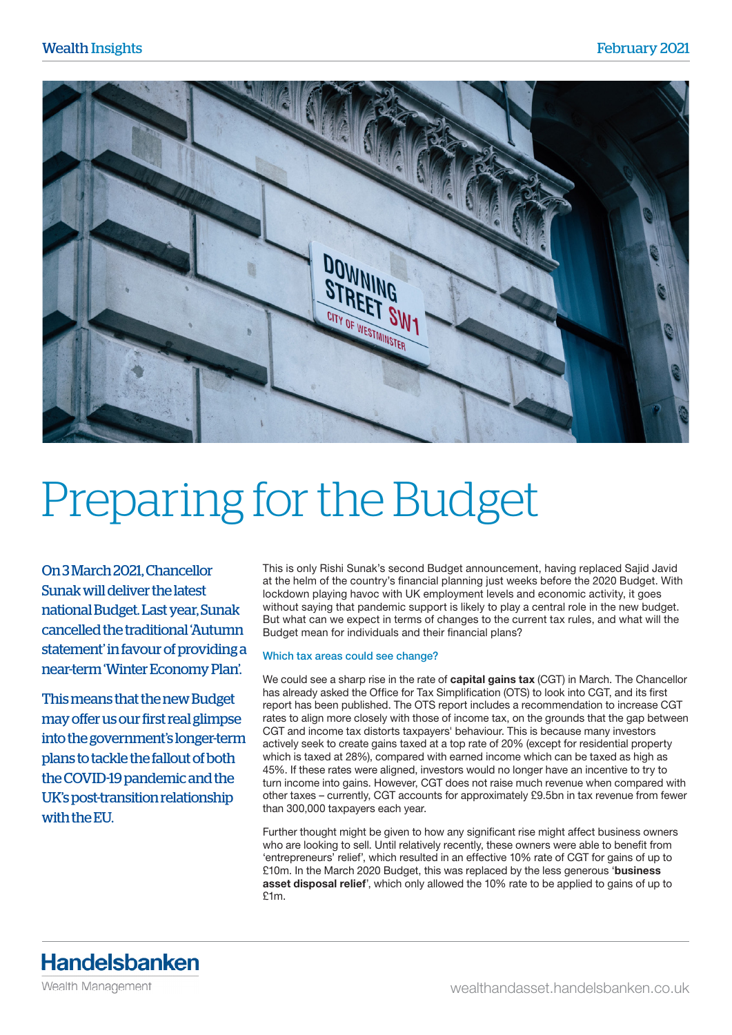

## Preparing for the Budget

On 3 March 2021, Chancellor Sunak will deliver the latest national Budget. Last year, Sunak cancelled the traditional 'Autumn statement' in favour of providing a near-term 'Winter Economy Plan'.

This means that the new Budget may offer us our first real glimpse into the government's longer-term plans to tackle the fallout of both the COVID-19 pandemic and the UK's post-transition relationship with the EU.

This is only Rishi Sunak's second Budget announcement, having replaced Sajid Javid at the helm of the country's financial planning just weeks before the 2020 Budget. With lockdown playing havoc with UK employment levels and economic activity, it goes without saying that pandemic support is likely to play a central role in the new budget. But what can we expect in terms of changes to the current tax rules, and what will the Budget mean for individuals and their financial plans?

## Which tax areas could see change?

We could see a sharp rise in the rate of capital gains tax (CGT) in March. The Chancellor has already asked the Office for Tax Simplification (OTS) to look into CGT, and its first report has been published. The OTS report includes a recommendation to increase CGT rates to align more closely with those of income tax, on the grounds that the gap between CGT and income tax distorts taxpayers' behaviour. This is because many investors actively seek to create gains taxed at a top rate of 20% (except for residential property which is taxed at 28%), compared with earned income which can be taxed as high as 45%. If these rates were aligned, investors would no longer have an incentive to try to turn income into gains. However, CGT does not raise much revenue when compared with other taxes – currently, CGT accounts for approximately £9.5bn in tax revenue from fewer than 300,000 taxpayers each year.

Further thought might be given to how any significant rise might affect business owners who are looking to sell. Until relatively recently, these owners were able to benefit from 'entrepreneurs' relief', which resulted in an effective 10% rate of CGT for gains of up to £10m. In the March 2020 Budget, this was replaced by the less generous 'business asset disposal relief', which only allowed the 10% rate to be applied to gains of up to £1m.

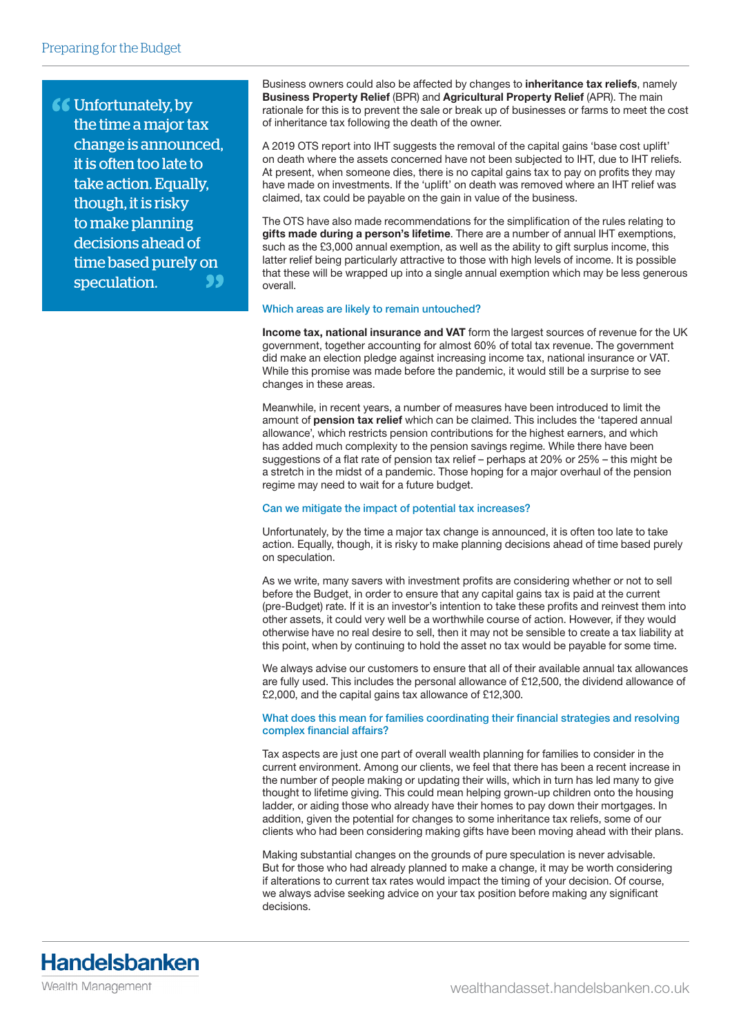**66** Unfortunately, by the time a major tax change is announced, it is often too late to take action. Equally, though, it is risky to make planning decisions ahead of time based purely on speculation.

Business owners could also be affected by changes to inheritance tax reliefs, namely Business Property Relief (BPR) and Agricultural Property Relief (APR). The main rationale for this is to prevent the sale or break up of businesses or farms to meet the cost of inheritance tax following the death of the owner.

A 2019 OTS report into IHT suggests the removal of the capital gains 'base cost uplift' on death where the assets concerned have not been subjected to IHT, due to IHT reliefs. At present, when someone dies, there is no capital gains tax to pay on profits they may have made on investments. If the 'uplift' on death was removed where an IHT relief was claimed, tax could be payable on the gain in value of the business.

The OTS have also made recommendations for the simplification of the rules relating to gifts made during a person's lifetime. There are a number of annual IHT exemptions, such as the £3,000 annual exemption, as well as the ability to gift surplus income, this latter relief being particularly attractive to those with high levels of income. It is possible that these will be wrapped up into a single annual exemption which may be less generous overall.

## Which areas are likely to remain untouched?

Income tax, national insurance and VAT form the largest sources of revenue for the UK government, together accounting for almost 60% of total tax revenue. The government did make an election pledge against increasing income tax, national insurance or VAT. While this promise was made before the pandemic, it would still be a surprise to see changes in these areas.

Meanwhile, in recent years, a number of measures have been introduced to limit the amount of pension tax relief which can be claimed. This includes the 'tapered annual allowance', which restricts pension contributions for the highest earners, and which has added much complexity to the pension savings regime. While there have been suggestions of a flat rate of pension tax relief – perhaps at 20% or 25% – this might be a stretch in the midst of a pandemic. Those hoping for a major overhaul of the pension regime may need to wait for a future budget.

## Can we mitigate the impact of potential tax increases?

Unfortunately, by the time a major tax change is announced, it is often too late to take action. Equally, though, it is risky to make planning decisions ahead of time based purely on speculation.

As we write, many savers with investment profits are considering whether or not to sell before the Budget, in order to ensure that any capital gains tax is paid at the current (pre-Budget) rate. If it is an investor's intention to take these profits and reinvest them into other assets, it could very well be a worthwhile course of action. However, if they would otherwise have no real desire to sell, then it may not be sensible to create a tax liability at this point, when by continuing to hold the asset no tax would be payable for some time.

We always advise our customers to ensure that all of their available annual tax allowances are fully used. This includes the personal allowance of £12,500, the dividend allowance of £2,000, and the capital gains tax allowance of £12,300.

What does this mean for families coordinating their financial strategies and resolving complex financial affairs?

Tax aspects are just one part of overall wealth planning for families to consider in the current environment. Among our clients, we feel that there has been a recent increase in the number of people making or updating their wills, which in turn has led many to give thought to lifetime giving. This could mean helping grown-up children onto the housing ladder, or aiding those who already have their homes to pay down their mortgages. In addition, given the potential for changes to some inheritance tax reliefs, some of our clients who had been considering making gifts have been moving ahead with their plans.

Making substantial changes on the grounds of pure speculation is never advisable. But for those who had already planned to make a change, it may be worth considering if alterations to current tax rates would impact the timing of your decision. Of course, we always advise seeking advice on your tax position before making any significant decisions.